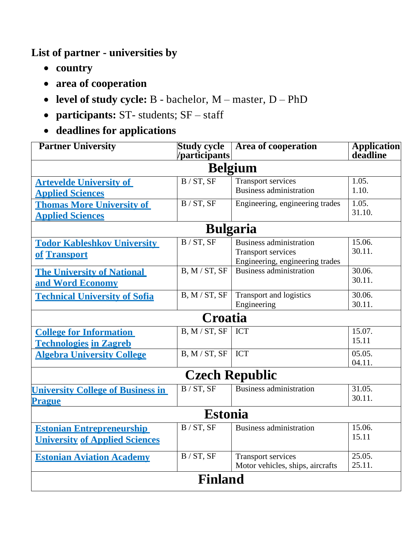**List of partner - universities by** 

- **country**
- **area of cooperation**
- **level of study cycle:** B bachelor, M master, D PhD
- **participants:** ST- students; SF staff
- **deadlines for applications**

| <b>Partner University</b>                | <b>Study cycle</b><br>/participants | <b>Area of cooperation</b>       | Application<br>deadline |  |  |  |
|------------------------------------------|-------------------------------------|----------------------------------|-------------------------|--|--|--|
| <b>Belgium</b>                           |                                     |                                  |                         |  |  |  |
|                                          |                                     |                                  |                         |  |  |  |
| <b>Artevelde University of</b>           | B/ST, SF                            | <b>Transport services</b>        | 1.05.                   |  |  |  |
| <b>Applied Sciences</b>                  |                                     | <b>Business administration</b>   | 1.10.                   |  |  |  |
| <b>Thomas More University of</b>         | B / ST, SF                          | Engineering, engineering trades  | 1.05.                   |  |  |  |
| <b>Applied Sciences</b>                  |                                     |                                  | 31.10.                  |  |  |  |
| <b>Bulgaria</b>                          |                                     |                                  |                         |  |  |  |
| <b>Todor Kableshkov University</b>       | B/ST, SF                            | <b>Business administration</b>   | 15.06.                  |  |  |  |
| of Transport                             |                                     | <b>Transport services</b>        | 30.11.                  |  |  |  |
|                                          |                                     | Engineering, engineering trades  |                         |  |  |  |
| <b>The University of National</b>        | B, M / ST, SF                       | <b>Business administration</b>   | 30.06.                  |  |  |  |
| and Word Economy                         |                                     |                                  | 30.11.                  |  |  |  |
| <b>Technical University of Sofia</b>     | B, M / ST, SF                       | Transport and logistics          | 30.06.                  |  |  |  |
|                                          |                                     | Engineering                      | 30.11.                  |  |  |  |
| Croatia                                  |                                     |                                  |                         |  |  |  |
| <b>College for Information</b>           | B, M/ST, SF                         | <b>ICT</b>                       | 15.07.                  |  |  |  |
| <b>Technologies in Zagreb</b>            |                                     |                                  | 15.11                   |  |  |  |
| <b>Algebra University College</b>        | B, M / ST, SF                       | <b>ICT</b>                       | 05.05.                  |  |  |  |
|                                          |                                     |                                  | 04.11.                  |  |  |  |
| <b>Czech Republic</b>                    |                                     |                                  |                         |  |  |  |
| <b>University College of Business in</b> | B / ST, SF                          | <b>Business administration</b>   | 31.05.                  |  |  |  |
| <b>Prague</b>                            |                                     |                                  | 30.11.                  |  |  |  |
| <b>Estonia</b>                           |                                     |                                  |                         |  |  |  |
| <b>Estonian Entrepreneurship</b>         | B / ST, SF                          | <b>Business administration</b>   | 15.06.                  |  |  |  |
| <b>University of Applied Sciences</b>    |                                     |                                  | 15.11                   |  |  |  |
|                                          |                                     |                                  |                         |  |  |  |
| <b>Estonian Aviation Academy</b>         | B / ST, SF                          | Transport services               | 25.05.                  |  |  |  |
|                                          |                                     | Motor vehicles, ships, aircrafts | 25.11.                  |  |  |  |
| <b>Finland</b>                           |                                     |                                  |                         |  |  |  |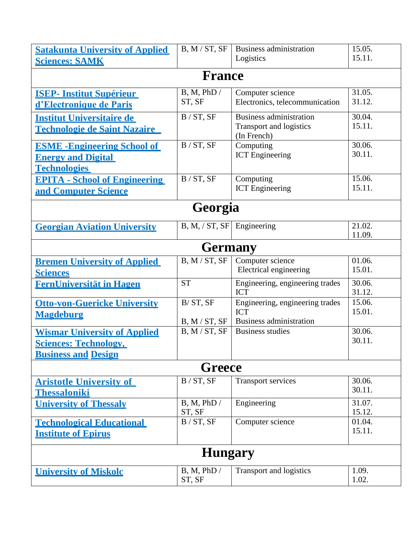| <b>Satakunta University of Applied</b><br><b>Sciences: SAMK</b>                                   | B, M / ST, SF             | <b>Business administration</b><br>Logistics                                     | 15.05.<br>15.11. |  |  |  |
|---------------------------------------------------------------------------------------------------|---------------------------|---------------------------------------------------------------------------------|------------------|--|--|--|
| <b>France</b>                                                                                     |                           |                                                                                 |                  |  |  |  |
| <b>ISEP- Institut Supérieur</b><br>d'Electronique de Paris                                        | B, M, PhD /<br>ST, SF     | Computer science<br>Electronics, telecommunication                              | 31.05.<br>31.12. |  |  |  |
| <b>Institut Universitaire de</b><br><u>Technologie de Saint Nazaire</u>                           | B / ST, SF                | <b>Business administration</b><br><b>Transport and logistics</b><br>(In French) | 30.04.<br>15.11. |  |  |  |
| <b>ESME - Engineering School of</b><br><b>Energy and Digital</b><br><b>Technologies</b>           | B / ST, SF                | Computing<br><b>ICT</b> Engineering                                             | 30.06.<br>30.11. |  |  |  |
| <b>EPITA - School of Engineering</b><br>and Computer Science                                      | B / ST, SF                | Computing<br><b>ICT</b> Engineering                                             | 15.06.<br>15.11. |  |  |  |
| Georgia                                                                                           |                           |                                                                                 |                  |  |  |  |
| <b>Georgian Aviation University</b>                                                               | B, M, / ST, SF            | Engineering                                                                     | 21.02.<br>11.09. |  |  |  |
| <b>Germany</b>                                                                                    |                           |                                                                                 |                  |  |  |  |
| <b>Bremen University of Applied</b><br><b>Sciences</b>                                            | B, M / ST, SF             | Computer science<br>Electrical engineering                                      | 01.06.<br>15.01. |  |  |  |
| <b>FernUniversität in Hagen</b>                                                                   | <b>ST</b>                 | Engineering, engineering trades<br><b>ICT</b>                                   | 30.06.<br>31.12. |  |  |  |
| <b>Otto-von-Guericke University</b><br><b>Magdeburg</b>                                           | B/ST, SF<br>B, M / ST, SF | Engineering, engineering trades<br><b>ICT</b><br><b>Business administration</b> | 15.06.<br>15.01. |  |  |  |
| <b>Wismar University of Applied</b><br><b>Sciences: Technology,</b><br><b>Business and Design</b> | B, M / ST, SF             | <b>Business studies</b>                                                         | 30.06.<br>30.11. |  |  |  |
| <b>Greece</b>                                                                                     |                           |                                                                                 |                  |  |  |  |
| <b>Aristotle University of</b><br><b>Thessaloniki</b>                                             | B / ST, SF                | <b>Transport services</b>                                                       | 30.06.<br>30.11. |  |  |  |
| <b>University of Thessaly</b>                                                                     | B, M, PhD/<br>ST, SF      | Engineering                                                                     | 31.07.<br>15.12. |  |  |  |
| <b>Technological Educational</b><br><b>Institute of Epirus</b>                                    | B / ST, SF                | Computer science                                                                | 01.04.<br>15.11. |  |  |  |
| <b>Hungary</b>                                                                                    |                           |                                                                                 |                  |  |  |  |
| <b>University of Miskolc</b>                                                                      | B, M, PhD /<br>ST, SF     | Transport and logistics                                                         | 1.09.<br>1.02.   |  |  |  |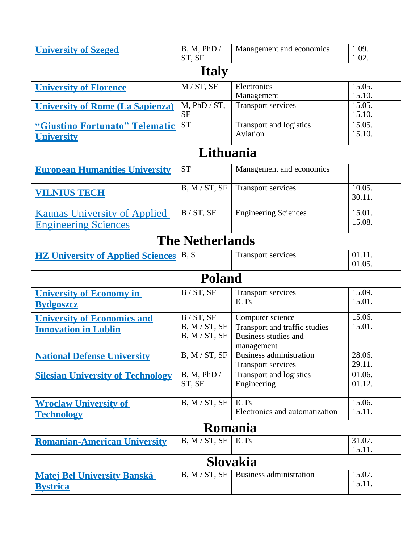| <b>University of Szeged</b>                                        | B, M, PhD /<br>ST, SF                        | Management and economics                                                                       | 1.09.<br>1.02.   |  |  |
|--------------------------------------------------------------------|----------------------------------------------|------------------------------------------------------------------------------------------------|------------------|--|--|
| <b>Italy</b>                                                       |                                              |                                                                                                |                  |  |  |
| <b>University of Florence</b>                                      | M / ST, SF                                   | Electronics<br>Management                                                                      | 15.05.<br>15.10. |  |  |
| <b>University of Rome (La Sapienza)</b>                            | $M$ , PhD / ST,<br><b>SF</b>                 | <b>Transport services</b>                                                                      | 15.05.<br>15.10. |  |  |
| "Giustino Fortunato" Telematic<br><b>University</b>                | <b>ST</b>                                    | Transport and logistics<br>Aviation                                                            | 15.05.<br>15.10. |  |  |
|                                                                    | Lithuania                                    |                                                                                                |                  |  |  |
| <b>European Humanities University</b>                              | <b>ST</b>                                    | Management and economics                                                                       |                  |  |  |
| <b>VILNIUS TECH</b>                                                | B, M / ST, SF                                | <b>Transport services</b>                                                                      | 10.05.<br>30.11. |  |  |
| <b>Kaunas University of Applied</b><br><b>Engineering Sciences</b> | B / ST, SF                                   | <b>Engineering Sciences</b>                                                                    | 15.01.<br>15.08. |  |  |
|                                                                    | <b>The Netherlands</b>                       |                                                                                                |                  |  |  |
| <b>HZ University of Applied Sciences</b>                           | B, S                                         | <b>Transport services</b>                                                                      | 01.11.<br>01.05. |  |  |
|                                                                    | <b>Poland</b>                                |                                                                                                |                  |  |  |
| <b>University of Economy in</b><br><b>Bydgoszcz</b>                | B / ST, SF                                   | <b>Transport services</b><br><b>ICTs</b>                                                       | 15.09.<br>15.01. |  |  |
| <b>University of Economics and</b><br><b>Innovation in Lublin</b>  | B / ST, SF<br>B, M / ST, SF<br>B, M / ST, SF | Computer science<br>Transport and traffic studies<br><b>Business studies and</b><br>management | 15.06.<br>15.01. |  |  |
| <b>National Defense University</b>                                 | B, M / ST, SF                                | Business administration<br><b>Transport services</b>                                           | 28.06.<br>29.11. |  |  |
| <b>Silesian University of Technology</b>                           | B, M, PhD /<br>ST, SF                        | Transport and logistics<br>Engineering                                                         | 01.06.<br>01.12. |  |  |
| <b>Wroclaw University of</b><br><b>Technology</b>                  | B, M / ST, SF                                | <b>ICTs</b><br>Electronics and automatization                                                  | 15.06.<br>15.11. |  |  |
| <b>Romania</b>                                                     |                                              |                                                                                                |                  |  |  |
| <b>Romanian-American University</b>                                | B, M / ST, SF                                | <b>ICTs</b>                                                                                    | 31.07.<br>15.11. |  |  |
| <b>Slovakia</b>                                                    |                                              |                                                                                                |                  |  |  |
| <b>Matej Bel University Banská</b><br><b>Bystrica</b>              | B, M / ST, SF                                | <b>Business administration</b>                                                                 | 15.07.<br>15.11. |  |  |